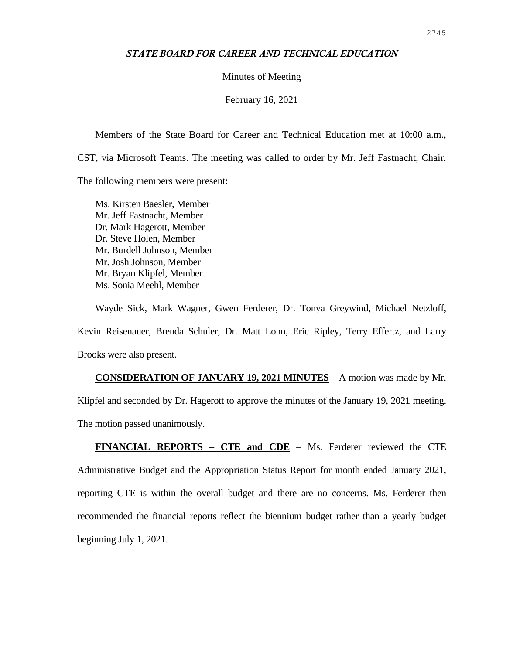### *STATE BOARD FOR CAREER AND TECHNICAL EDUCATION*

Minutes of Meeting

February 16, 2021

Members of the State Board for Career and Technical Education met at 10:00 a.m., CST, via Microsoft Teams. The meeting was called to order by Mr. Jeff Fastnacht, Chair. The following members were present:

Ms. Kirsten Baesler, Member Mr. Jeff Fastnacht, Member Dr. Mark Hagerott, Member Dr. Steve Holen, Member Mr. Burdell Johnson, Member Mr. Josh Johnson, Member Mr. Bryan Klipfel, Member Ms. Sonia Meehl, Member

Wayde Sick, Mark Wagner, Gwen Ferderer, Dr. Tonya Greywind, Michael Netzloff, Kevin Reisenauer, Brenda Schuler, Dr. Matt Lonn, Eric Ripley, Terry Effertz, and Larry Brooks were also present.

**CONSIDERATION OF JANUARY 19, 2021 MINUTES** – A motion was made by Mr. Klipfel and seconded by Dr. Hagerott to approve the minutes of the January 19, 2021 meeting. The motion passed unanimously.

**FINANCIAL REPORTS – CTE and CDE** – Ms. Ferderer reviewed the CTE Administrative Budget and the Appropriation Status Report for month ended January 2021, reporting CTE is within the overall budget and there are no concerns. Ms. Ferderer then recommended the financial reports reflect the biennium budget rather than a yearly budget beginning July 1, 2021.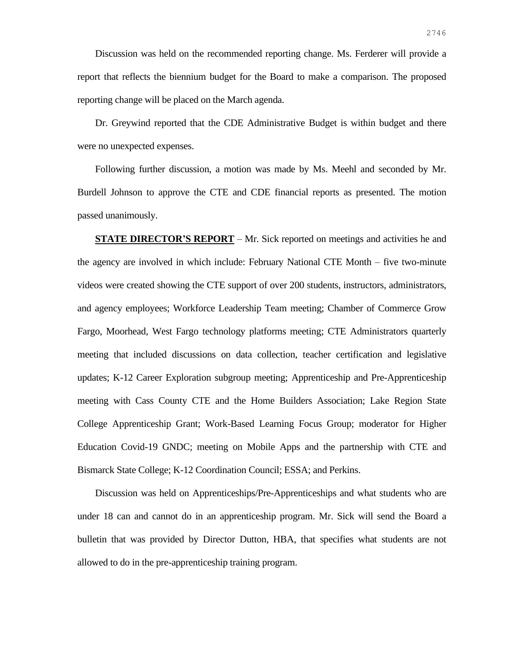Discussion was held on the recommended reporting change. Ms. Ferderer will provide a report that reflects the biennium budget for the Board to make a comparison. The proposed reporting change will be placed on the March agenda.

Dr. Greywind reported that the CDE Administrative Budget is within budget and there were no unexpected expenses.

Following further discussion, a motion was made by Ms. Meehl and seconded by Mr. Burdell Johnson to approve the CTE and CDE financial reports as presented. The motion passed unanimously.

**STATE DIRECTOR'S REPORT** – Mr. Sick reported on meetings and activities he and the agency are involved in which include: February National CTE Month – five two-minute videos were created showing the CTE support of over 200 students, instructors, administrators, and agency employees; Workforce Leadership Team meeting; Chamber of Commerce Grow Fargo, Moorhead, West Fargo technology platforms meeting; CTE Administrators quarterly meeting that included discussions on data collection, teacher certification and legislative updates; K-12 Career Exploration subgroup meeting; Apprenticeship and Pre-Apprenticeship meeting with Cass County CTE and the Home Builders Association; Lake Region State College Apprenticeship Grant; Work-Based Learning Focus Group; moderator for Higher Education Covid-19 GNDC; meeting on Mobile Apps and the partnership with CTE and Bismarck State College; K-12 Coordination Council; ESSA; and Perkins.

Discussion was held on Apprenticeships/Pre-Apprenticeships and what students who are under 18 can and cannot do in an apprenticeship program. Mr. Sick will send the Board a bulletin that was provided by Director Dutton, HBA, that specifies what students are not allowed to do in the pre-apprenticeship training program.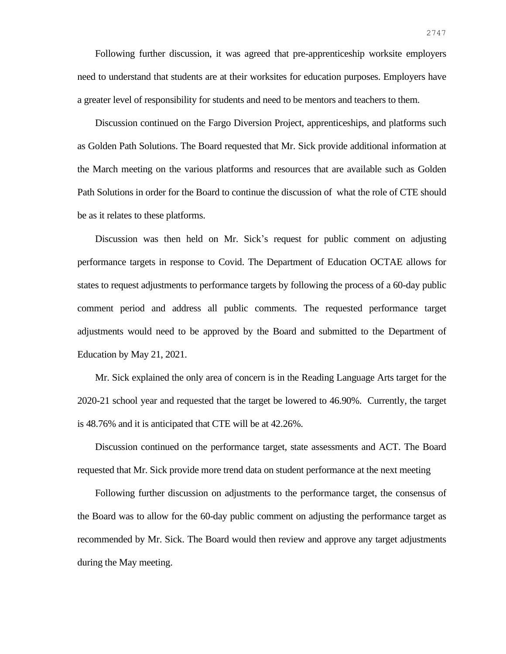Following further discussion, it was agreed that pre-apprenticeship worksite employers need to understand that students are at their worksites for education purposes. Employers have a greater level of responsibility for students and need to be mentors and teachers to them.

Discussion continued on the Fargo Diversion Project, apprenticeships, and platforms such as Golden Path Solutions. The Board requested that Mr. Sick provide additional information at the March meeting on the various platforms and resources that are available such as Golden Path Solutions in order for the Board to continue the discussion of what the role of CTE should be as it relates to these platforms.

Discussion was then held on Mr. Sick's request for public comment on adjusting performance targets in response to Covid. The Department of Education OCTAE allows for states to request adjustments to performance targets by following the process of a 60-day public comment period and address all public comments. The requested performance target adjustments would need to be approved by the Board and submitted to the Department of Education by May 21, 2021.

Mr. Sick explained the only area of concern is in the Reading Language Arts target for the 2020-21 school year and requested that the target be lowered to 46.90%. Currently, the target is 48.76% and it is anticipated that CTE will be at 42.26%.

Discussion continued on the performance target, state assessments and ACT. The Board requested that Mr. Sick provide more trend data on student performance at the next meeting

Following further discussion on adjustments to the performance target, the consensus of the Board was to allow for the 60-day public comment on adjusting the performance target as recommended by Mr. Sick. The Board would then review and approve any target adjustments during the May meeting.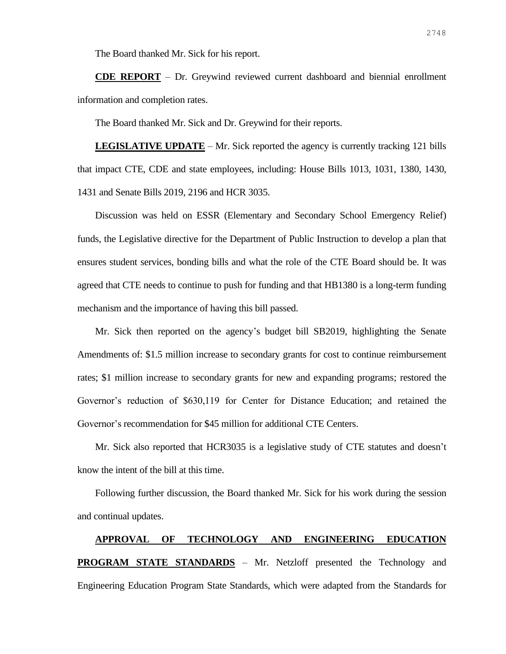The Board thanked Mr. Sick for his report.

**CDE REPORT** – Dr. Greywind reviewed current dashboard and biennial enrollment information and completion rates.

The Board thanked Mr. Sick and Dr. Greywind for their reports.

**LEGISLATIVE UPDATE** – Mr. Sick reported the agency is currently tracking 121 bills that impact CTE, CDE and state employees, including: House Bills 1013, 1031, 1380, 1430, 1431 and Senate Bills 2019, 2196 and HCR 3035.

Discussion was held on ESSR (Elementary and Secondary School Emergency Relief) funds, the Legislative directive for the Department of Public Instruction to develop a plan that ensures student services, bonding bills and what the role of the CTE Board should be. It was agreed that CTE needs to continue to push for funding and that HB1380 is a long-term funding mechanism and the importance of having this bill passed.

Mr. Sick then reported on the agency's budget bill SB2019, highlighting the Senate Amendments of: \$1.5 million increase to secondary grants for cost to continue reimbursement rates; \$1 million increase to secondary grants for new and expanding programs; restored the Governor's reduction of \$630,119 for Center for Distance Education; and retained the Governor's recommendation for \$45 million for additional CTE Centers.

Mr. Sick also reported that HCR3035 is a legislative study of CTE statutes and doesn't know the intent of the bill at this time.

Following further discussion, the Board thanked Mr. Sick for his work during the session and continual updates.

# **APPROVAL OF TECHNOLOGY AND ENGINEERING EDUCATION PROGRAM STATE STANDARDS** – Mr. Netzloff presented the Technology and Engineering Education Program State Standards, which were adapted from the Standards for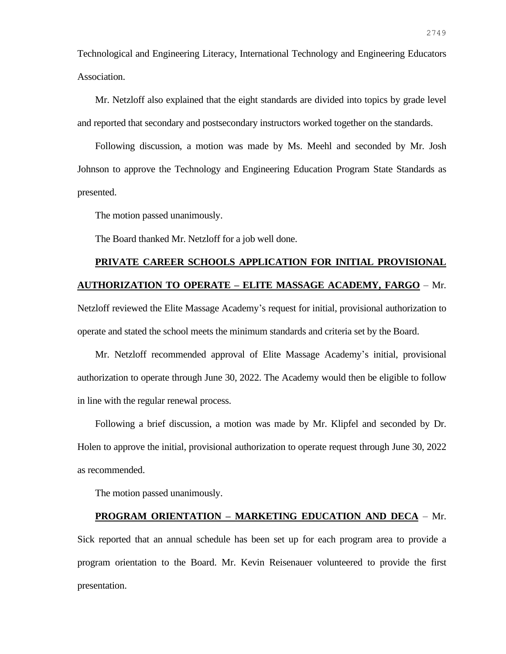Technological and Engineering Literacy, International Technology and Engineering Educators Association.

Mr. Netzloff also explained that the eight standards are divided into topics by grade level and reported that secondary and postsecondary instructors worked together on the standards.

Following discussion, a motion was made by Ms. Meehl and seconded by Mr. Josh Johnson to approve the Technology and Engineering Education Program State Standards as presented.

The motion passed unanimously.

The Board thanked Mr. Netzloff for a job well done.

# **PRIVATE CAREER SCHOOLS APPLICATION FOR INITIAL PROVISIONAL AUTHORIZATION TO OPERATE – ELITE MASSAGE ACADEMY, FARGO** – Mr.

Netzloff reviewed the Elite Massage Academy's request for initial, provisional authorization to operate and stated the school meets the minimum standards and criteria set by the Board.

Mr. Netzloff recommended approval of Elite Massage Academy's initial, provisional authorization to operate through June 30, 2022. The Academy would then be eligible to follow in line with the regular renewal process.

Following a brief discussion, a motion was made by Mr. Klipfel and seconded by Dr. Holen to approve the initial, provisional authorization to operate request through June 30, 2022 as recommended.

The motion passed unanimously.

#### **PROGRAM ORIENTATION – MARKETING EDUCATION AND DECA** – Mr.

Sick reported that an annual schedule has been set up for each program area to provide a program orientation to the Board. Mr. Kevin Reisenauer volunteered to provide the first presentation.